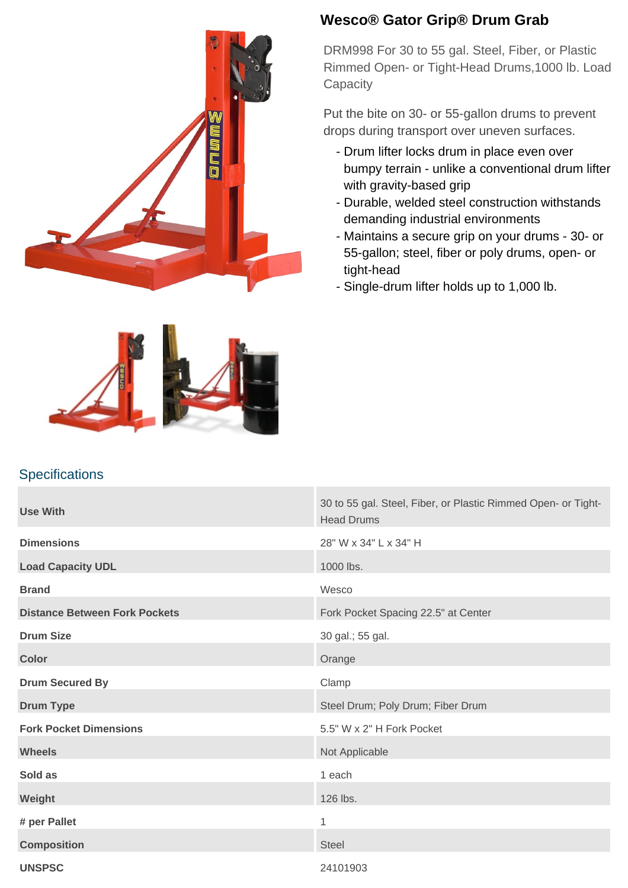

## **Wesco® Gator Grip® Drum Grab**

DRM998 For 30 to 55 gal. Steel, Fiber, or Plastic Rimmed Open- or Tight-Head Drums,1000 lb. Load **Capacity** 

Put the bite on 30- or 55-gallon drums to prevent drops during transport over uneven surfaces.

- Drum lifter locks drum in place even over bumpy terrain - unlike a conventional drum lifter with gravity-based grip
- Durable, welded steel construction withstands demanding industrial environments
- Maintains a secure grip on your drums 30- or 55-gallon; steel, fiber or poly drums, open- or tight-head
- Single-drum lifter holds up to 1,000 lb.

## **Specifications**

| <b>Use With</b>                      | 30 to 55 gal. Steel, Fiber, or Plastic Rimmed Open- or Tight-<br><b>Head Drums</b> |
|--------------------------------------|------------------------------------------------------------------------------------|
| <b>Dimensions</b>                    | 28" W x 34" L x 34" H                                                              |
| <b>Load Capacity UDL</b>             | 1000 lbs.                                                                          |
| <b>Brand</b>                         | Wesco                                                                              |
| <b>Distance Between Fork Pockets</b> | Fork Pocket Spacing 22.5" at Center                                                |
| <b>Drum Size</b>                     | 30 gal.; 55 gal.                                                                   |
| <b>Color</b>                         | Orange                                                                             |
| <b>Drum Secured By</b>               | Clamp                                                                              |
| <b>Drum Type</b>                     | Steel Drum; Poly Drum; Fiber Drum                                                  |
| <b>Fork Pocket Dimensions</b>        | 5.5" W x 2" H Fork Pocket                                                          |
| <b>Wheels</b>                        | Not Applicable                                                                     |
| Sold as                              | 1 each                                                                             |
| Weight                               | 126 lbs.                                                                           |
| # per Pallet                         | 1                                                                                  |
| <b>Composition</b>                   | <b>Steel</b>                                                                       |
| <b>UNSPSC</b>                        | 24101903                                                                           |